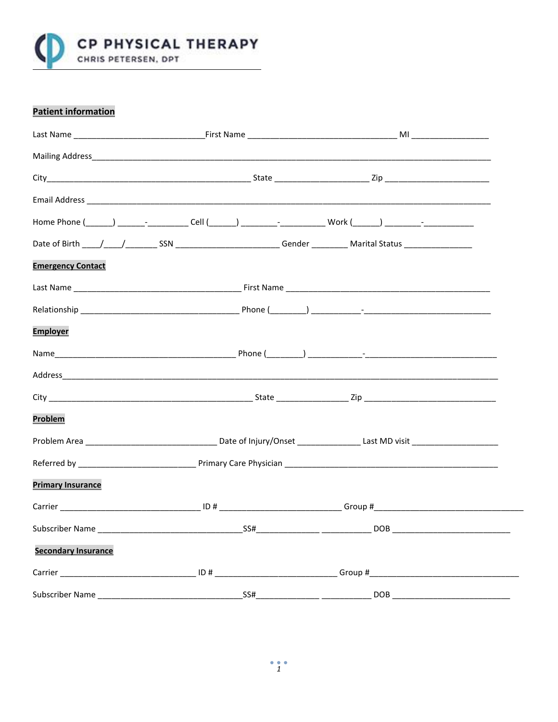

# **Patient information**

|                            | Home Phone (______) _______- ___________Cell (______) _________- ______________Work (______) _________-_______ |  |
|----------------------------|----------------------------------------------------------------------------------------------------------------|--|
|                            |                                                                                                                |  |
| <b>Emergency Contact</b>   |                                                                                                                |  |
|                            |                                                                                                                |  |
|                            |                                                                                                                |  |
| <b>Employer</b>            |                                                                                                                |  |
|                            |                                                                                                                |  |
|                            |                                                                                                                |  |
|                            |                                                                                                                |  |
| Problem                    |                                                                                                                |  |
|                            |                                                                                                                |  |
|                            |                                                                                                                |  |
| <b>Primary Insurance</b>   |                                                                                                                |  |
|                            |                                                                                                                |  |
|                            |                                                                                                                |  |
| <b>Secondary Insurance</b> |                                                                                                                |  |
|                            |                                                                                                                |  |
|                            |                                                                                                                |  |